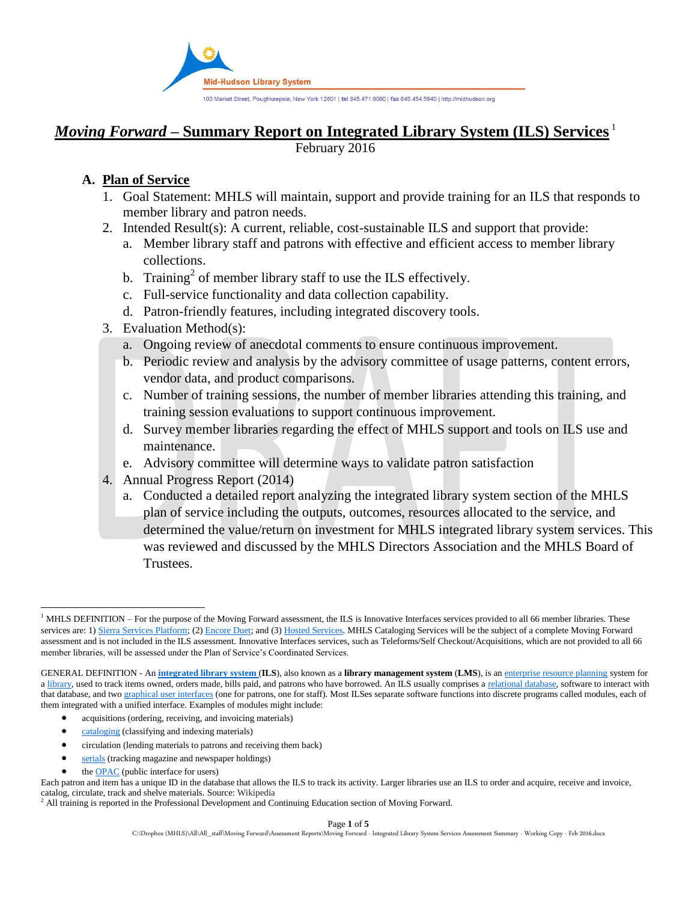

# *Moving Forward* **– Summary Report on Integrated Library System (ILS) Services** <sup>1</sup>

February 2016

## **A. Plan of Service**

- 1. Goal Statement: MHLS will maintain, support and provide training for an ILS that responds to member library and patron needs.
- 2. Intended Result(s): A current, reliable, cost-sustainable ILS and support that provide:
	- a. Member library staff and patrons with effective and efficient access to member library collections.
	- b. Training<sup>2</sup> of member library staff to use the ILS effectively.
	- c. Full-service functionality and data collection capability.
	- d. Patron-friendly features, including integrated discovery tools.
- 3. Evaluation Method(s):
	- a. Ongoing review of anecdotal comments to ensure continuous improvement.
	- b. Periodic review and analysis by the advisory committee of usage patterns, content errors, vendor data, and product comparisons.
	- c. Number of training sessions, the number of member libraries attending this training, and training session evaluations to support continuous improvement.
	- d. Survey member libraries regarding the effect of MHLS support and tools on ILS use and maintenance.
	- e. Advisory committee will determine ways to validate patron satisfaction
- 4. Annual Progress Report (2014)
	- a. Conducted a detailed report analyzing the integrated library system section of the MHLS plan of service including the outputs, outcomes, resources allocated to the service, and determined the value/return on investment for MHLS integrated library system services. This was reviewed and discussed by the MHLS Directors Association and the MHLS Board of Trustees.

- acquisitions (ordering, receiving, and invoicing materials)
- [cataloging](http://en.wikipedia.org/wiki/Library_catalog) (classifying and indexing materials)
- circulation (lending materials to patrons and receiving them back)
- [serials](http://en.wikipedia.org/wiki/Serial_(literature)) (tracking magazine and newspaper holdings)
- the [OPAC](http://en.wikipedia.org/wiki/Online_public_access_catalog) (public interface for users)

l  $1$  MHLS DEFINITION – For the purpose of the Moving Forward assessment, the ILS is Innovative Interfaces services provided to all 66 member libraries. These services are: 1[\) Sierra Services Platform;](http://www.iii.com/products/sierra) (2[\) Encore Duet;](http://www.iii.com/products/encore) and (3[\) Hosted Services.](http://www.iii.com/services/hosting) MHLS Cataloging Services will be the subject of a complete Moving Forward assessment and is not included in the ILS assessment. Innovative Interfaces services, such as Teleforms/Self Checkout/Acquisitions, which are not provided to all 66 member libraries, will be assessed under the Plan of Service's Coordinated Services.

GENERAL DEFINITION - An **[integrated library system](http://en.wikipedia.org/wiki/Integrated_library_system)** (**ILS**), also known as a **library management system** (**LMS**), is an [enterprise resource planning](http://en.wikipedia.org/wiki/Enterprise_resource_planning) system for a [library,](http://en.wikipedia.org/wiki/Library) used to track items owned, orders made, bills paid, and patrons who have borrowed. An ILS usually comprises a [relational database,](http://en.wikipedia.org/wiki/Relational_database) software to interact with that database, and two [graphical user interfaces](http://en.wikipedia.org/wiki/Graphical_user_interface) (one for patrons, one for staff). Most ILSes separate software functions into discrete programs called modules, each of them integrated with a unified interface. Examples of modules might include:

Each patron and item has a unique ID in the database that allows the ILS to track its activity. Larger libraries use an ILS to order and acquire, receive and invoice, catalog, circulate, track and shelve materials. Source: Wikipedia

<sup>2</sup> All training is reported in the Professional Development and Continuing Education section of Moving Forward.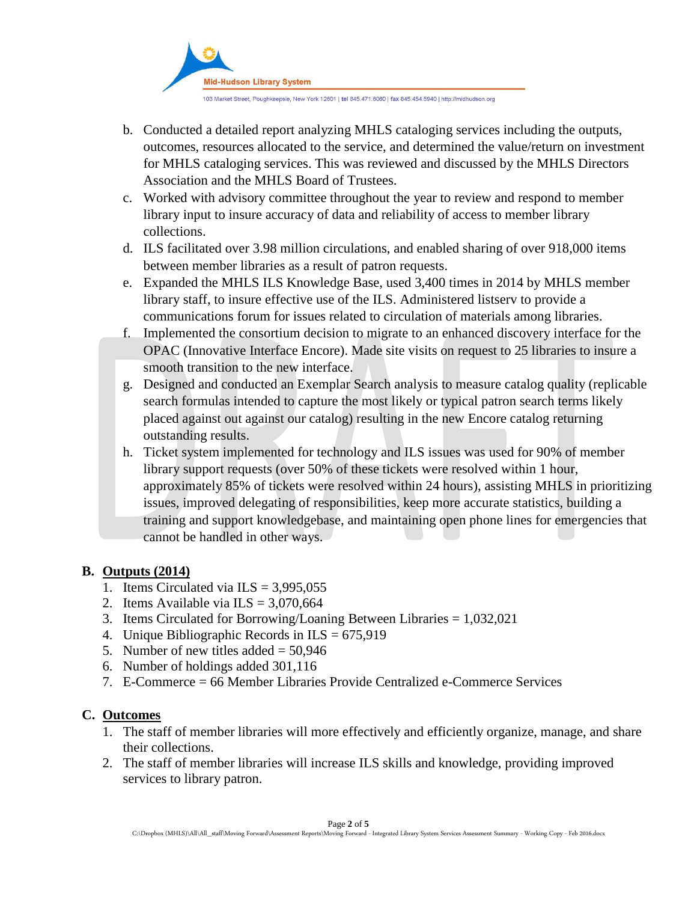

103 Market Street, Poughkeepsie, New York 12601 | tel 845.471.6060 | fax 845.454.5940 | http://midhudson.org

- b. Conducted a detailed report analyzing MHLS cataloging services including the outputs, outcomes, resources allocated to the service, and determined the value/return on investment for MHLS cataloging services. This was reviewed and discussed by the MHLS Directors Association and the MHLS Board of Trustees.
- c. Worked with advisory committee throughout the year to review and respond to member library input to insure accuracy of data and reliability of access to member library collections.
- d. ILS facilitated over 3.98 million circulations, and enabled sharing of over 918,000 items between member libraries as a result of patron requests.
- e. Expanded the MHLS ILS Knowledge Base, used 3,400 times in 2014 by MHLS member library staff, to insure effective use of the ILS. Administered listserv to provide a communications forum for issues related to circulation of materials among libraries.
- f. Implemented the consortium decision to migrate to an enhanced discovery interface for the OPAC (Innovative Interface Encore). Made site visits on request to 25 libraries to insure a smooth transition to the new interface.
- g. Designed and conducted an Exemplar Search analysis to measure catalog quality (replicable search formulas intended to capture the most likely or typical patron search terms likely placed against out against our catalog) resulting in the new Encore catalog returning outstanding results.
- h. Ticket system implemented for technology and ILS issues was used for 90% of member library support requests (over 50% of these tickets were resolved within 1 hour, approximately 85% of tickets were resolved within 24 hours), assisting MHLS in prioritizing issues, improved delegating of responsibilities, keep more accurate statistics, building a training and support knowledgebase, and maintaining open phone lines for emergencies that cannot be handled in other ways.

## **B. Outputs (2014)**

- 1. Items Circulated via  $ILS = 3,995,055$
- 2. Items Available via  $ILS = 3,070,664$
- 3. Items Circulated for Borrowing/Loaning Between Libraries = 1,032,021
- 4. Unique Bibliographic Records in  $ILS = 675.919$
- 5. Number of new titles added  $= 50.946$
- 6. Number of holdings added 301,116
- 7. E-Commerce = 66 Member Libraries Provide Centralized e-Commerce Services

### **C. Outcomes**

- 1. The staff of member libraries will more effectively and efficiently organize, manage, and share their collections.
- 2. The staff of member libraries will increase ILS skills and knowledge, providing improved services to library patron.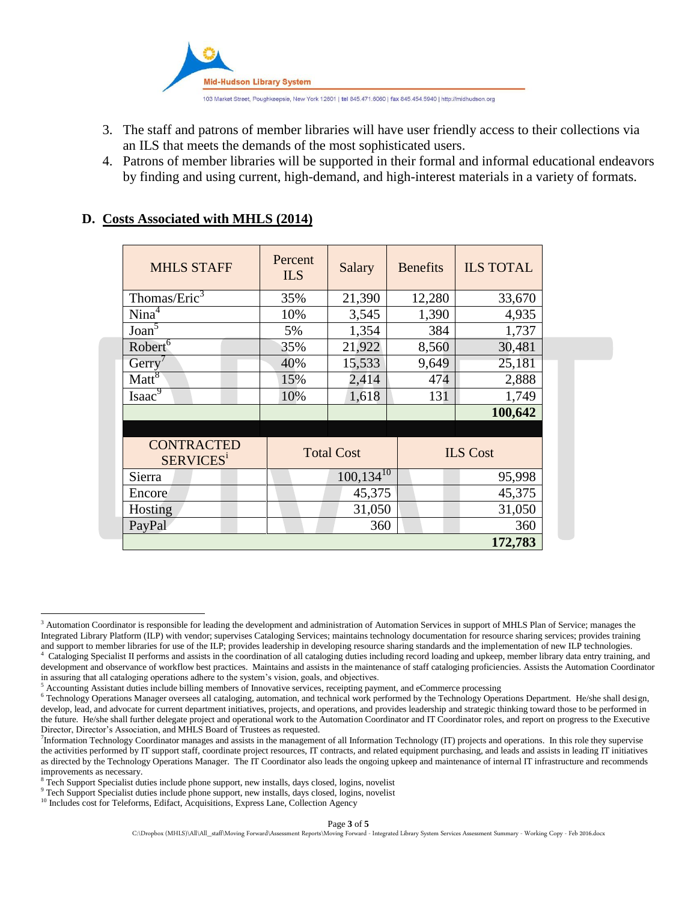

- 3. The staff and patrons of member libraries will have user friendly access to their collections via an ILS that meets the demands of the most sophisticated users.
- 4. Patrons of member libraries will be supported in their formal and informal educational endeavors by finding and using current, high-demand, and high-interest materials in a variety of formats.

| <b>MHLS STAFF</b>                                 | Percent<br><b>ILS</b> | Salary            | <b>Benefits</b> | <b>ILS TOTAL</b> |
|---------------------------------------------------|-----------------------|-------------------|-----------------|------------------|
| Thomas/Eric <sup>3</sup>                          | 35%                   | 21,390            | 12,280          | 33,670           |
| Nina <sup>4</sup>                                 | 10%                   | 3,545             | 1,390           | 4,935            |
| Joan <sup>5</sup>                                 | 5%                    | 1,354             | 384             | 1,737            |
| Robert <sup>6</sup>                               | 35%                   | 21,922            | 8,560           | 30,481           |
| Gerry                                             | 40%                   | 15,533            | 9,649           | 25,181           |
| Matt <sup>8</sup>                                 | 15%                   | 2,414             | 474             | 2,888            |
| Isaac <sup>9</sup>                                | 10%                   | 1,618             | 131             | 1,749            |
|                                                   |                       |                   |                 | 100,642          |
|                                                   |                       |                   |                 |                  |
| <b>CONTRACTED</b><br><b>SERVICES</b> <sup>1</sup> |                       | <b>Total Cost</b> |                 | <b>ILS</b> Cost  |
| Sierra                                            |                       | $100, 134^{10}$   |                 | 95,998           |
| Encore                                            |                       | 45,375            |                 | 45,375           |
| Hosting                                           |                       | 31,050            |                 | 31,050           |
| PayPal                                            |                       | 360               |                 | 360              |
|                                                   |                       |                   |                 | 172,783          |

#### **D. Costs Associated with MHLS (2014)**

in assuring that all cataloging operations adhere to the system's vision, goals, and objectives.

 $\overline{\phantom{a}}$ <sup>3</sup> Automation Coordinator is responsible for leading the development and administration of Automation Services in support of MHLS Plan of Service; manages the Integrated Library Platform (ILP) with vendor; supervises Cataloging Services; maintains technology documentation for resource sharing services; provides training and support to member libraries for use of the ILP; provides leadership in developing resource sharing standards and the implementation of new ILP technologies. 4 Cataloging Specialist II performs and assists in the coordination of all cataloging duties including record loading and upkeep, member library data entry training, and development and observance of workflow best practices. Maintains and assists in the maintenance of staff cataloging proficiencies. Assists the Automation Coordinator

<sup>&</sup>lt;sup>5</sup> Accounting Assistant duties include billing members of Innovative services, receipting payment, and eCommerce processing

<sup>6</sup> Technology Operations Manager oversees all cataloging, automation, and technical work performed by the Technology Operations Department. He/she shall design, develop, lead, and advocate for current department initiatives, projects, and operations, and provides leadership and strategic thinking toward those to be performed in the future. He/she shall further delegate project and operational work to the Automation Coordinator and IT Coordinator roles, and report on progress to the Executive Director, Director's Association, and MHLS Board of Trustees as requested.

<sup>&</sup>lt;sup>7</sup>Information Technology Coordinator manages and assists in the management of all Information Technology (IT) projects and operations. In this role they supervise the activities performed by IT support staff, coordinate project resources, IT contracts, and related equipment purchasing, and leads and assists in leading IT initiatives as directed by the Technology Operations Manager. The IT Coordinator also leads the ongoing upkeep and maintenance of internal IT infrastructure and recommends improvements as necessary.

 $8$  Tech Support Specialist duties include phone support, new installs, days closed, logins, novelist

<sup>&</sup>lt;sup>9</sup> Tech Support Specialist duties include phone support, new installs, days closed, logins, novelist

<sup>&</sup>lt;sup>10</sup> Includes cost for Teleforms, Edifact, Acquisitions, Express Lane, Collection Agency

C:\Dropbox (MHLS)\All\All\_staff\Moving Forward\Assessment Reports\Moving Forward - Integrated Library System Services Assessment Summary - Working Copy - Feb 2016.docx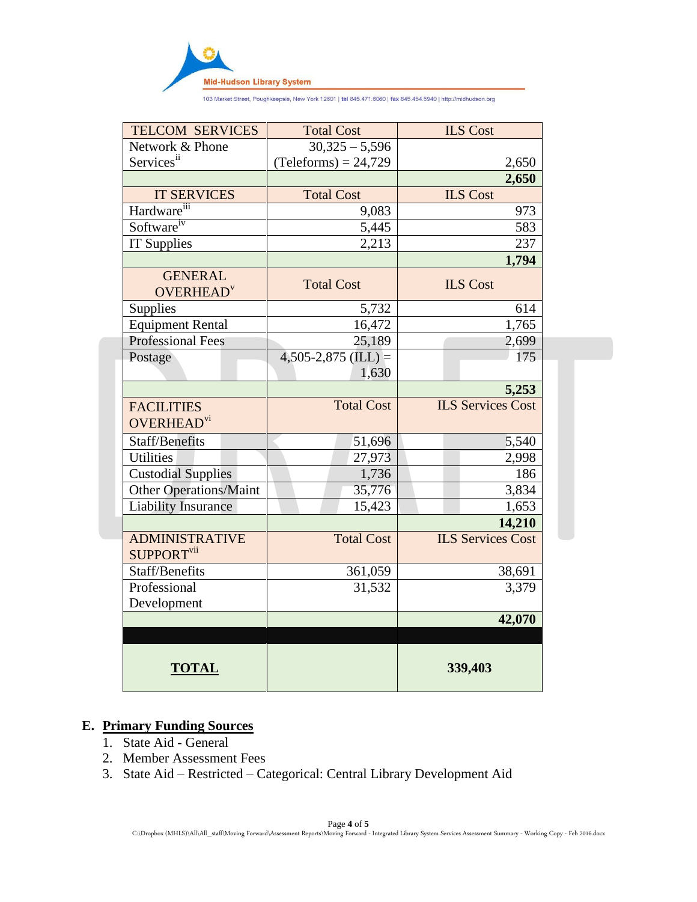

103 Market Street, Poughkeepsie, New York 12601 | tel 845.471.6060 | fax 845.454.5940 | http://midhudson.org

| <b>TELCOM SERVICES</b>                         | <b>Total Cost</b>      | <b>ILS Cost</b>          |
|------------------------------------------------|------------------------|--------------------------|
| Network & Phone                                | $30,325 - 5,596$       |                          |
| Servicesii                                     | $(Teleforms) = 24,729$ | 2,650                    |
|                                                |                        | 2,650                    |
| <b>IT SERVICES</b>                             | <b>Total Cost</b>      | <b>ILS Cost</b>          |
| Hardware <sup>111</sup>                        | 9,083                  | 973                      |
| Software <sup>iv</sup>                         | 5,445                  | 583                      |
| <b>IT Supplies</b>                             | 2,213                  | 237                      |
|                                                |                        | 1,794                    |
| <b>GENERAL</b><br><b>OVERHEAD</b> <sup>v</sup> | <b>Total Cost</b>      | <b>ILS Cost</b>          |
| Supplies                                       | 5,732                  | 614                      |
| <b>Equipment Rental</b>                        | 16,472                 | 1,765                    |
| <b>Professional Fees</b>                       | 25,189                 | 2,699                    |
| Postage                                        | $4,505-2,875$ (ILL) =  | 175                      |
|                                                | 1,630                  |                          |
|                                                |                        | 5,253                    |
| <b>FACILITIES</b>                              | <b>Total Cost</b>      | <b>ILS Services Cost</b> |
| OVERHEAD <sup>vi</sup>                         |                        |                          |
| <b>Staff/Benefits</b>                          | 51,696                 | 5,540                    |
| <b>Utilities</b>                               | 27,973                 | 2,998                    |
| <b>Custodial Supplies</b>                      | 1,736                  | 186                      |
| <b>Other Operations/Maint</b>                  | 35,776                 | 3,834                    |
| <b>Liability Insurance</b>                     | 15,423                 | 1,653                    |
|                                                |                        | 14,210                   |
| <b>ADMINISTRATIVE</b>                          | <b>Total Cost</b>      | <b>ILS Services Cost</b> |
| SUPPORT <sup>vii</sup>                         |                        |                          |
| Staff/Benefits                                 | 361,059                | 38,691                   |
| Professional                                   | 31,532                 | 3,379                    |
| Development                                    |                        |                          |
|                                                |                        | 42,070                   |
|                                                |                        |                          |
| <b>TOTAL</b>                                   |                        | 339,403                  |

# **E. Primary Funding Sources**

- 1. State Aid General
- 2. Member Assessment Fees
- 3. State Aid Restricted Categorical: Central Library Development Aid